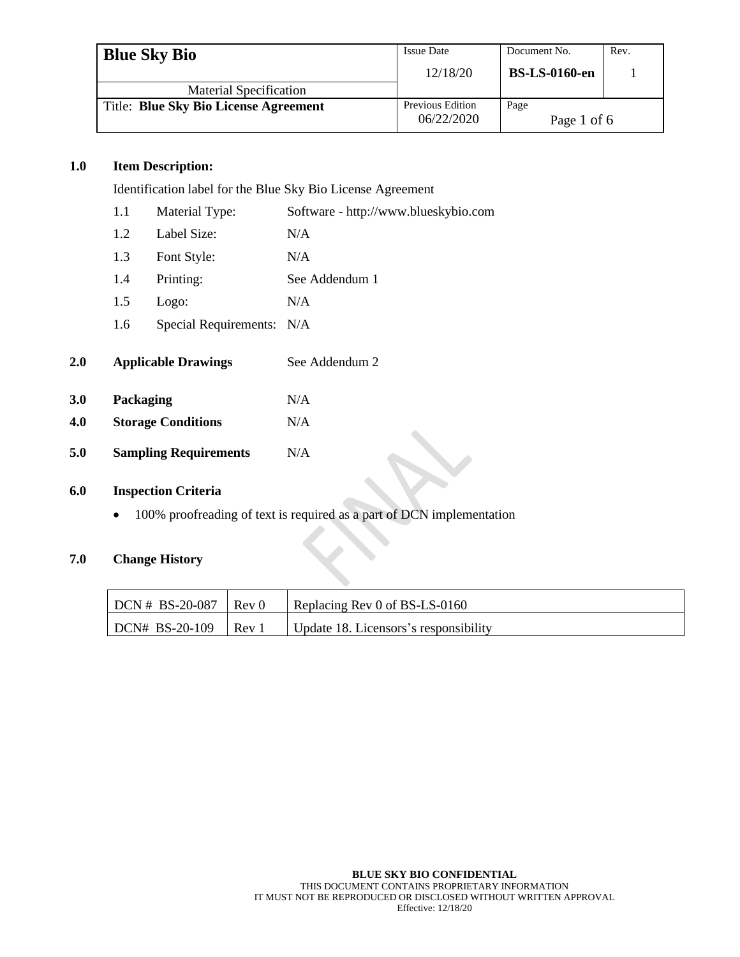| <b>Blue Sky Bio</b>                   | <b>Issue Date</b>                     | Document No.         | Rev. |
|---------------------------------------|---------------------------------------|----------------------|------|
|                                       | 12/18/20                              | <b>BS-LS-0160-en</b> |      |
| <b>Material Specification</b>         |                                       |                      |      |
| Title: Blue Sky Bio License Agreement | <b>Previous Edition</b><br>06/22/2020 | Page<br>Page 1 of 6  |      |

### **1.0 Item Description:**

Identification label for the Blue Sky Bio License Agreement

|     | 1.1       | Material Type:               | Software - http://www.blueskybio.com |
|-----|-----------|------------------------------|--------------------------------------|
|     | 1.2       | Label Size:                  | N/A                                  |
|     | 1.3       | Font Style:                  | N/A                                  |
|     | 1.4       | Printing:                    | See Addendum 1                       |
|     | 1.5       | Logo:                        | N/A                                  |
|     | 1.6       | Special Requirements: N/A    |                                      |
| 2.0 |           | <b>Applicable Drawings</b>   | See Addendum 2                       |
| 3.0 | Packaging |                              | N/A                                  |
| 4.0 |           | <b>Storage Conditions</b>    | N/A                                  |
| 5.0 |           | <b>Sampling Requirements</b> | N/A                                  |

### **6.0 Inspection Criteria**

• 100% proofreading of text is required as a part of DCN implementation

## **7.0 Change History**

| $DCN # BS-20-087$ | Rev 0 | Replacing Rev 0 of BS-LS-0160         |
|-------------------|-------|---------------------------------------|
| $DCN# BS-20-109$  | Rev   | Update 18. Licensors's responsibility |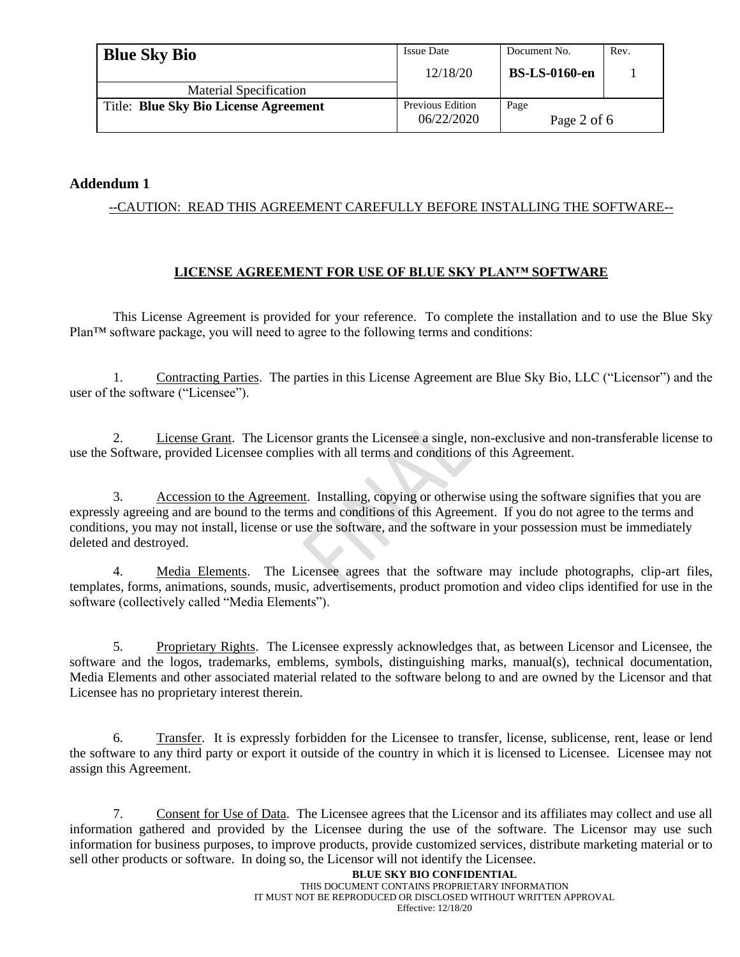| <b>Blue Sky Bio</b>                   | <b>Issue Date</b>              | Document No.         | Rev. |
|---------------------------------------|--------------------------------|----------------------|------|
|                                       | 12/18/20                       | <b>BS-LS-0160-en</b> |      |
| <b>Material Specification</b>         |                                |                      |      |
| Title: Blue Sky Bio License Agreement | Previous Edition<br>06/22/2020 | Page<br>Page 2 of 6  |      |

## **Addendum 1**

## --CAUTION: READ THIS AGREEMENT CAREFULLY BEFORE INSTALLING THE SOFTWARE--

### **LICENSE AGREEMENT FOR USE OF BLUE SKY PLAN™ SOFTWARE**

This License Agreement is provided for your reference. To complete the installation and to use the Blue Sky Plan™ software package, you will need to agree to the following terms and conditions:

1. Contracting Parties. The parties in this License Agreement are Blue Sky Bio, LLC ("Licensor") and the user of the software ("Licensee").

2. License Grant. The Licensor grants the Licensee a single, non-exclusive and non-transferable license to use the Software, provided Licensee complies with all terms and conditions of this Agreement.

3. Accession to the Agreement. Installing, copying or otherwise using the software signifies that you are expressly agreeing and are bound to the terms and conditions of this Agreement. If you do not agree to the terms and conditions, you may not install, license or use the software, and the software in your possession must be immediately deleted and destroyed.

4. Media Elements. The Licensee agrees that the software may include photographs, clip-art files, templates, forms, animations, sounds, music, advertisements, product promotion and video clips identified for use in the software (collectively called "Media Elements").

5. Proprietary Rights. The Licensee expressly acknowledges that, as between Licensor and Licensee, the software and the logos, trademarks, emblems, symbols, distinguishing marks, manual(s), technical documentation, Media Elements and other associated material related to the software belong to and are owned by the Licensor and that Licensee has no proprietary interest therein.

6. Transfer. It is expressly forbidden for the Licensee to transfer, license, sublicense, rent, lease or lend the software to any third party or export it outside of the country in which it is licensed to Licensee. Licensee may not assign this Agreement.

7. Consent for Use of Data. The Licensee agrees that the Licensor and its affiliates may collect and use all information gathered and provided by the Licensee during the use of the software. The Licensor may use such information for business purposes, to improve products, provide customized services, distribute marketing material or to sell other products or software. In doing so, the Licensor will not identify the Licensee.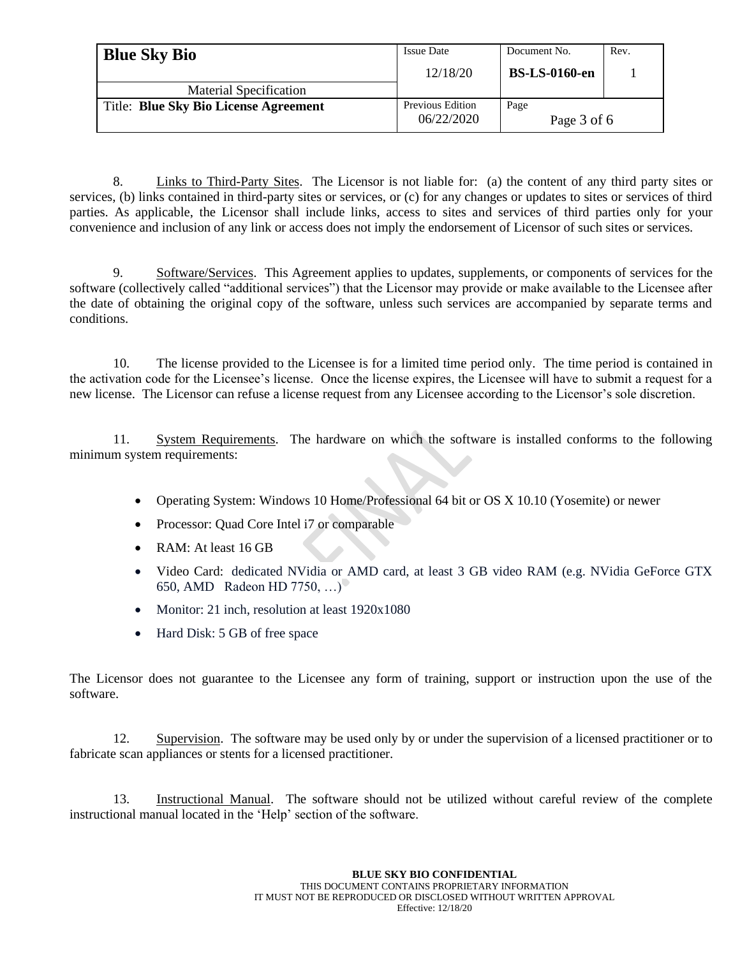| <b>Blue Sky Bio</b>                   | <b>Issue Date</b>              | Document No.         | Rev. |
|---------------------------------------|--------------------------------|----------------------|------|
|                                       | 12/18/20                       | <b>BS-LS-0160-en</b> |      |
| <b>Material Specification</b>         |                                |                      |      |
| Title: Blue Sky Bio License Agreement | Previous Edition<br>06/22/2020 | Page<br>Page 3 of 6  |      |

8. Links to Third-Party Sites. The Licensor is not liable for: (a) the content of any third party sites or services, (b) links contained in third-party sites or services, or (c) for any changes or updates to sites or services of third parties. As applicable, the Licensor shall include links, access to sites and services of third parties only for your convenience and inclusion of any link or access does not imply the endorsement of Licensor of such sites or services.

9. Software/Services. This Agreement applies to updates, supplements, or components of services for the software (collectively called "additional services") that the Licensor may provide or make available to the Licensee after the date of obtaining the original copy of the software, unless such services are accompanied by separate terms and conditions.

10. The license provided to the Licensee is for a limited time period only. The time period is contained in the activation code for the Licensee's license. Once the license expires, the Licensee will have to submit a request for a new license. The Licensor can refuse a license request from any Licensee according to the Licensor's sole discretion.

11. System Requirements. The hardware on which the software is installed conforms to the following minimum system requirements:

- Operating System: Windows 10 Home/Professional 64 bit or OS X 10.10 (Yosemite) or newer
- Processor: Quad Core Intel i7 or comparable
- RAM: At least 16 GB
- Video Card: dedicated NVidia or AMD card, at least 3 GB video RAM (e.g. NVidia GeForce GTX 650, AMD Radeon HD 7750, …)
- Monitor: 21 inch, resolution at least 1920x1080
- Hard Disk: 5 GB of free space

The Licensor does not guarantee to the Licensee any form of training, support or instruction upon the use of the software.

12. Supervision. The software may be used only by or under the supervision of a licensed practitioner or to fabricate scan appliances or stents for a licensed practitioner.

13. Instructional Manual. The software should not be utilized without careful review of the complete instructional manual located in the 'Help' section of the software.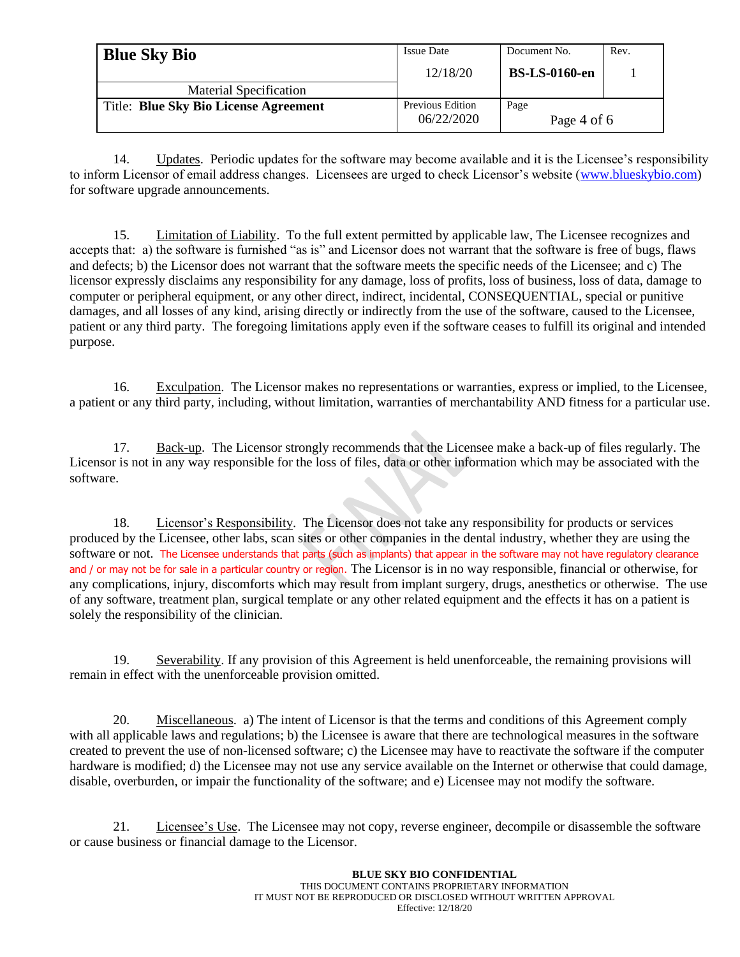| <b>Blue Sky Bio</b>                          | <b>Issue Date</b>              | Document No.         | Rev. |
|----------------------------------------------|--------------------------------|----------------------|------|
|                                              | 12/18/20                       | <b>BS-LS-0160-en</b> |      |
| <b>Material Specification</b>                |                                |                      |      |
| <b>Title: Blue Sky Bio License Agreement</b> | Previous Edition<br>06/22/2020 | Page<br>Page 4 of 6  |      |

14. Updates. Periodic updates for the software may become available and it is the Licensee's responsibility to inform Licensor of email address changes. Licensees are urged to check Licensor's website (www.blueskybio.com) for software upgrade announcements.

15. Limitation of Liability. To the full extent permitted by applicable law, The Licensee recognizes and accepts that: a) the software is furnished "as is" and Licensor does not warrant that the software is free of bugs, flaws and defects; b) the Licensor does not warrant that the software meets the specific needs of the Licensee; and c) The licensor expressly disclaims any responsibility for any damage, loss of profits, loss of business, loss of data, damage to computer or peripheral equipment, or any other direct, indirect, incidental, CONSEQUENTIAL, special or punitive damages, and all losses of any kind, arising directly or indirectly from the use of the software, caused to the Licensee, patient or any third party. The foregoing limitations apply even if the software ceases to fulfill its original and intended purpose.

16. Exculpation. The Licensor makes no representations or warranties, express or implied, to the Licensee, a patient or any third party, including, without limitation, warranties of merchantability AND fitness for a particular use.

17. Back-up. The Licensor strongly recommends that the Licensee make a back-up of files regularly. The Licensor is not in any way responsible for the loss of files, data or other information which may be associated with the software.

18. Licensor's Responsibility. The Licensor does not take any responsibility for products or services produced by the Licensee, other labs, scan sites or other companies in the dental industry, whether they are using the software or not. The Licensee understands that parts (such as implants) that appear in the software may not have regulatory clearance and / or may not be for sale in a particular country or region. The Licensor is in no way responsible, financial or otherwise, for any complications, injury, discomforts which may result from implant surgery, drugs, anesthetics or otherwise. The use of any software, treatment plan, surgical template or any other related equipment and the effects it has on a patient is solely the responsibility of the clinician.

19. Severability. If any provision of this Agreement is held unenforceable, the remaining provisions will remain in effect with the unenforceable provision omitted.

20. Miscellaneous. a) The intent of Licensor is that the terms and conditions of this Agreement comply with all applicable laws and regulations; b) the Licensee is aware that there are technological measures in the software created to prevent the use of non-licensed software; c) the Licensee may have to reactivate the software if the computer hardware is modified; d) the Licensee may not use any service available on the Internet or otherwise that could damage, disable, overburden, or impair the functionality of the software; and e) Licensee may not modify the software.

21. Licensee's Use. The Licensee may not copy, reverse engineer, decompile or disassemble the software or cause business or financial damage to the Licensor.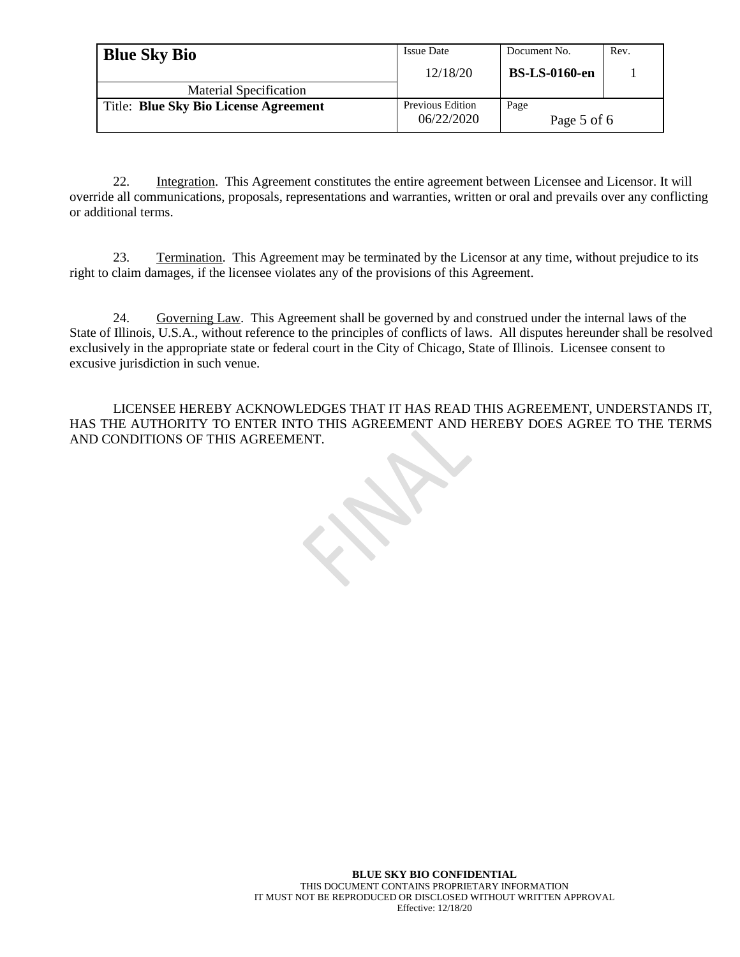| <b>Blue Sky Bio</b>                   | <b>Issue Date</b>              | Document No.         | Rev. |
|---------------------------------------|--------------------------------|----------------------|------|
|                                       | 12/18/20                       | <b>BS-LS-0160-en</b> |      |
| <b>Material Specification</b>         |                                |                      |      |
| Title: Blue Sky Bio License Agreement | Previous Edition<br>06/22/2020 | Page<br>Page 5 of 6  |      |

22. Integration. This Agreement constitutes the entire agreement between Licensee and Licensor. It will override all communications, proposals, representations and warranties, written or oral and prevails over any conflicting or additional terms.

23. Termination. This Agreement may be terminated by the Licensor at any time, without prejudice to its right to claim damages, if the licensee violates any of the provisions of this Agreement.

24. Governing Law. This Agreement shall be governed by and construed under the internal laws of the State of Illinois, U.S.A., without reference to the principles of conflicts of laws. All disputes hereunder shall be resolved exclusively in the appropriate state or federal court in the City of Chicago, State of Illinois. Licensee consent to excusive jurisdiction in such venue.

LICENSEE HEREBY ACKNOWLEDGES THAT IT HAS READ THIS AGREEMENT, UNDERSTANDS IT, HAS THE AUTHORITY TO ENTER INTO THIS AGREEMENT AND HEREBY DOES AGREE TO THE TERMS AND CONDITIONS OF THIS AGREEMENT.